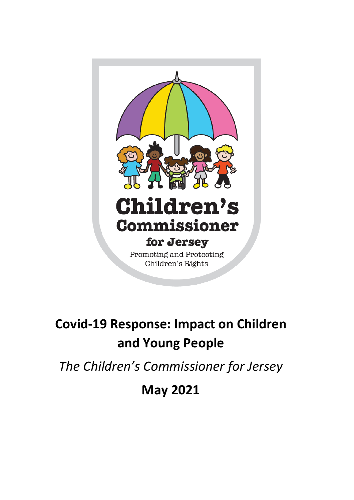

# **Covid-19 Response: Impact on Children and Young People**

*The Children's Commissioner for Jersey*

**May 2021**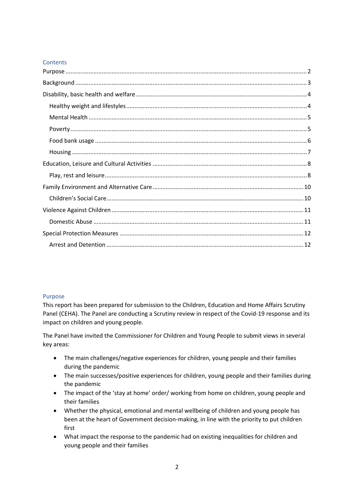## **Contents**

## <span id="page-1-0"></span>Purpose

This report has been prepared for submission to the Children, Education and Home Affairs Scrutiny Panel (CEHA). The Panel are conducting a Scrutiny review in respect of the Covid-19 response and its impact on children and young people.

The Panel have invited the Commissioner for Children and Young People to submit views in several key areas:

- The main challenges/negative experiences for children, young people and their families during the pandemic
- The main successes/positive experiences for children, young people and their families during the pandemic
- The impact of the 'stay at home' order/ working from home on children, young people and their families
- Whether the physical, emotional and mental wellbeing of children and young people has been at the heart of Government decision-making, in line with the priority to put children first
- What impact the response to the pandemic had on existing inequalities for children and young people and their families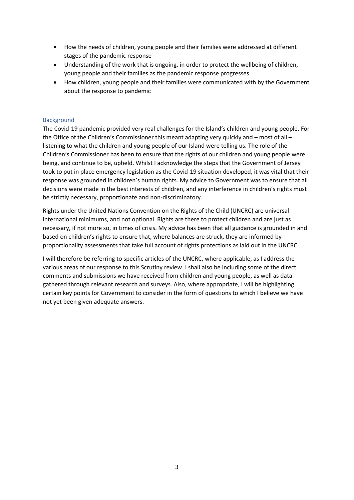- How the needs of children, young people and their families were addressed at different stages of the pandemic response
- Understanding of the work that is ongoing, in order to protect the wellbeing of children, young people and their families as the pandemic response progresses
- How children, young people and their families were communicated with by the Government about the response to pandemic

## <span id="page-2-0"></span>Background

The Covid-19 pandemic provided very real challenges for the Island's children and young people. For the Office of the Children's Commissioner this meant adapting very quickly and – most of all – listening to what the children and young people of our Island were telling us. The role of the Children's Commissioner has been to ensure that the rights of our children and young people were being, and continue to be, upheld. Whilst I acknowledge the steps that the Government of Jersey took to put in place emergency legislation as the Covid-19 situation developed, it was vital that their response was grounded in children's human rights. My advice to Government was to ensure that all decisions were made in the best interests of children, and any interference in children's rights must be strictly necessary, proportionate and non-discriminatory.

Rights under the United Nations Convention on the Rights of the Child (UNCRC) are universal international minimums, and not optional. Rights are there to protect children and are just as necessary, if not more so, in times of crisis. My advice has been that all guidance is grounded in and based on children's rights to ensure that, where balances are struck, they are informed by proportionality assessments that take full account of rights protections as laid out in the UNCRC.

I will therefore be referring to specific articles of the UNCRC, where applicable, as I address the various areas of our response to this Scrutiny review. I shall also be including some of the direct comments and submissions we have received from children and young people, as well as data gathered through relevant research and surveys. Also, where appropriate, I will be highlighting certain key points for Government to consider in the form of questions to which I believe we have not yet been given adequate answers.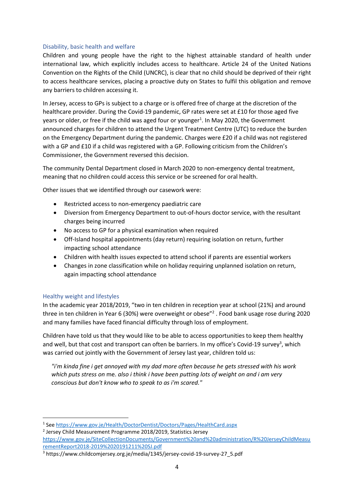## <span id="page-3-0"></span>Disability, basic health and welfare

Children and young people have the right to the highest attainable standard of health under international law, which explicitly includes access to healthcare. Article 24 of the United Nations Convention on the Rights of the Child (UNCRC), is clear that no child should be deprived of their right to access healthcare services, placing a proactive duty on States to fulfil this obligation and remove any barriers to children accessing it.

In Jersey, access to GPs is subject to a charge or is offered free of charge at the discretion of the healthcare provider. During the Covid-19 pandemic, GP rates were set at £10 for those aged five years or older, or free if the child was aged four or younger<sup>1</sup>. In May 2020, the Government announced charges for children to attend the Urgent Treatment Centre (UTC) to reduce the burden on the Emergency Department during the pandemic. Charges were £20 if a child was not registered with a GP and £10 if a child was registered with a GP. Following criticism from the Children's Commissioner, the Government reversed this decision.

The community Dental Department closed in March 2020 to non-emergency dental treatment, meaning that no children could access this service or be screened for oral health.

Other issues that we identified through our casework were:

- Restricted access to non-emergency paediatric care
- Diversion from Emergency Department to out-of-hours doctor service, with the resultant charges being incurred
- No access to GP for a physical examination when required
- Off-Island hospital appointments (day return) requiring isolation on return, further impacting school attendance
- Children with health issues expected to attend school if parents are essential workers
- Changes in zone classification while on holiday requiring unplanned isolation on return, again impacting school attendance

## <span id="page-3-1"></span>Healthy weight and lifestyles

In the academic year 2018/2019, "two in ten children in reception year at school (21%) and around three in ten children in Year 6 (30%) were overweight or obese<sup>"2</sup>. Food bank usage rose during 2020 and many families have faced financial difficulty through loss of employment.

Children have told us that they would like to be able to access opportunities to keep them healthy and well, but that cost and transport can often be barriers. In my office's Covid-19 survey<sup>3</sup>, which was carried out jointly with the Government of Jersey last year, children told us:

*"i'm kinda fine i get annoyed with my dad more often because he gets stressed with his work which puts stress on* me. *also i think i have been putting lots of weight on and i am very conscious but don't know who to speak to as i'm scared."*

<sup>&</sup>lt;sup>1</sup> See<https://www.gov.je/Health/DoctorDentist/Doctors/Pages/HealthCard.aspx>

<sup>2</sup> Jersey Child Measurement Programme 2018/2019, Statistics Jersey

[https://www.gov.je/SiteCollectionDocuments/Government%20and%20administration/R%20JerseyChildMeasu](https://www.gov.je/SiteCollectionDocuments/Government%20and%20administration/R%20JerseyChildMeasurementReport2018-2019%2020191211%20SJ.pdf) [rementReport2018-2019%2020191211%20SJ.pdf](https://www.gov.je/SiteCollectionDocuments/Government%20and%20administration/R%20JerseyChildMeasurementReport2018-2019%2020191211%20SJ.pdf)

<sup>3</sup> https://www.childcomjersey.org.je/media/1345/jersey-covid-19-survey-27\_5.pdf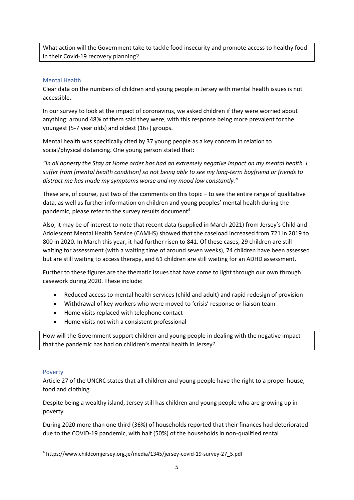What action will the Government take to tackle food insecurity and promote access to healthy food in their Covid-19 recovery planning?

# <span id="page-4-0"></span>Mental Health

Clear data on the numbers of children and young people in Jersey with mental health issues is not accessible.

In our survey to look at the impact of coronavirus, we asked children if they were worried about anything: around 48% of them said they were, with this response being more prevalent for the youngest (5-7 year olds) and oldest (16+) groups.

Mental health was specifically cited by 37 young people as a key concern in relation to social/physical distancing. One young person stated that:

*"In all honesty the Stay at Home order has had an extremely negative impact on my mental health. I suffer from [mental health condition] so not being able to see my long-term boyfriend or friends to distract me has made my symptoms worse and my mood low constantly."*

These are, of course, just two of the comments on this topic – to see the entire range of qualitative data, as well as further information on children and young peoples' mental health during the pandemic, please refer to the survey results document<sup>4</sup>.

Also, it may be of interest to note that recent data (supplied in March 2021) from Jersey's Child and Adolescent Mental Health Service (CAMHS) showed that the caseload increased from 721 in 2019 to 800 in 2020. In March this year, it had further risen to 841. Of these cases, 29 children are still waiting for assessment (with a waiting time of around seven weeks), 74 children have been assessed but are still waiting to access therapy, and 61 children are still waiting for an ADHD assessment.

Further to these figures are the thematic issues that have come to light through our own through casework during 2020. These include:

- Reduced access to mental health services (child and adult) and rapid redesign of provision
- Withdrawal of key workers who were moved to 'crisis' response or liaison team
- Home visits replaced with telephone contact
- Home visits not with a consistent professional

How will the Government support children and young people in dealing with the negative impact that the pandemic has had on children's mental health in Jersey?

## <span id="page-4-1"></span>Poverty

Article 27 of the UNCRC states that all children and young people have the right to a proper house, food and clothing.

Despite being a wealthy island, Jersey still has children and young people who are growing up in poverty.

During 2020 more than one third (36%) of households reported that their finances had deteriorated due to the COVID-19 pandemic, with half (50%) of the households in non-qualified rental

<sup>4</sup> https://www.childcomjersey.org.je/media/1345/jersey-covid-19-survey-27\_5.pdf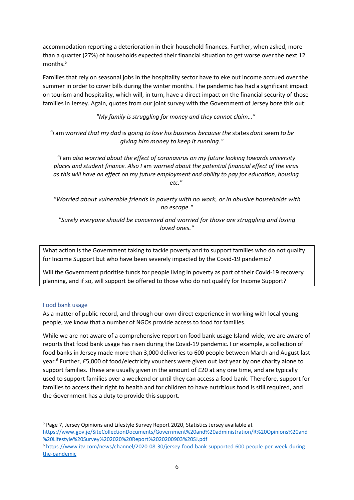accommodation reporting a deterioration in their household finances. Further, when asked, more than a quarter (27%) of households expected their financial situation to get worse over the next 12 months.<sup>5</sup>

Families that rely on seasonal jobs in the hospitality sector have to eke out income accrued over the summer in order to cover bills during the winter months. The pandemic has had a significant impact on tourism and hospitality, which will, in turn, have a direct impact on the financial security of those families in Jersey. Again, quotes from our joint survey with the Government of Jersey bore this out:

*"My family is struggling for money and they cannot claim…"*

*"i* am*worried that my dad* is *going to lose his business because the* states *dont* seem*to be giving him money to keep it running."*

*"I* am *also worried about the effect of coronavirus on my future looking towards university places and student finance. Also I* am *worried about the potential financial effect of the virus as this will have an effect on my future employment and ability to pay for education, housing etc."*

*"Worried about vulnerable friends in poverty with no work, or in abusive households with no escape."*

*"Surely everyone should be concerned and worried for those are struggling and losing loved ones."*

What action is the Government taking to tackle poverty and to support families who do not qualify for Income Support but who have been severely impacted by the Covid-19 pandemic?

Will the Government prioritise funds for people living in poverty as part of their Covid-19 recovery planning, and if so, will support be offered to those who do not qualify for Income Support?

## <span id="page-5-0"></span>Food bank usage

As a matter of public record, and through our own direct experience in working with local young people, we know that a number of NGOs provide access to food for families.

While we are not aware of a comprehensive report on food bank usage Island-wide, we are aware of reports that food bank usage has risen during the Covid-19 pandemic. For example, a collection of food banks in Jersey made more than 3,000 deliveries to 600 people between March and August last year.<sup>6</sup> Further, £5,000 of food/electricity vouchers were given out last year by one charity alone to support families. These are usually given in the amount of £20 at any one time, and are typically used to support families over a weekend or until they can access a food bank. Therefore, support for families to access their right to health and for children to have nutritious food is still required, and the Government has a duty to provide this support.

<sup>5</sup> Page 7, Jersey Opinions and Lifestyle Survey Report 2020, Statistics Jersey available at [https://www.gov.je/SiteCollectionDocuments/Government%20and%20administration/R%20Opinions%20and](https://www.gov.je/SiteCollectionDocuments/Government%20and%20administration/R%20Opinions%20and%20Lifestyle%20Survey%202020%20Report%2020200903%20SJ.pdf) [%20Lifestyle%20Survey%202020%20Report%2020200903%20SJ.pdf](https://www.gov.je/SiteCollectionDocuments/Government%20and%20administration/R%20Opinions%20and%20Lifestyle%20Survey%202020%20Report%2020200903%20SJ.pdf) <sup>6</sup> [https://www.itv.com/news/channel/2020-08-30/jersey-food-bank-supported-600-people-per-week-during-](https://www.itv.com/news/channel/2020-08-30/jersey-food-bank-supported-600-people-per-week-during-the-pandemic)

[the-pandemic](https://www.itv.com/news/channel/2020-08-30/jersey-food-bank-supported-600-people-per-week-during-the-pandemic)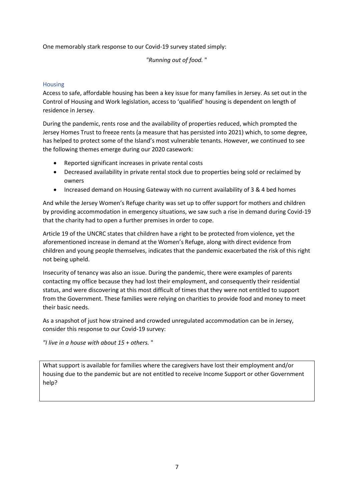One memorably stark response to our Covid-19 survey stated simply:

*"Running out of food.* "

# <span id="page-6-0"></span>Housing

Access to safe, affordable housing has been a key issue for many families in Jersey. As set out in the Control of Housing and Work legislation, access to 'qualified' housing is dependent on length of residence in Jersey.

During the pandemic, rents rose and the availability of properties reduced, which prompted the Jersey Homes Trust to freeze rents (a measure that has persisted into 2021) which, to some degree, has helped to protect some of the Island's most vulnerable tenants. However, we continued to see the following themes emerge during our 2020 casework:

- Reported significant increases in private rental costs
- Decreased availability in private rental stock due to properties being sold or reclaimed by owners
- Increased demand on Housing Gateway with no current availability of 3 & 4 bed homes

And while the Jersey Women's Refuge charity was set up to offer support for mothers and children by providing accommodation in emergency situations, we saw such a rise in demand during Covid-19 that the charity had to open a further premises in order to cope.

Article 19 of the UNCRC states that children have a right to be protected from violence, yet the aforementioned increase in demand at the Women's Refuge, along with direct evidence from children and young people themselves, indicates that the pandemic exacerbated the risk of this right not being upheld.

Insecurity of tenancy was also an issue. During the pandemic, there were examples of parents contacting my office because they had lost their employment, and consequently their residential status, and were discovering at this most difficult of times that they were not entitled to support from the Government. These families were relying on charities to provide food and money to meet their basic needs.

As a snapshot of just how strained and crowded unregulated accommodation can be in Jersey, consider this response to our Covid-19 survey:

*"I live in a house with about 15* + *others.* "

What support is available for families where the caregivers have lost their employment and/or housing due to the pandemic but are not entitled to receive Income Support or other Government help?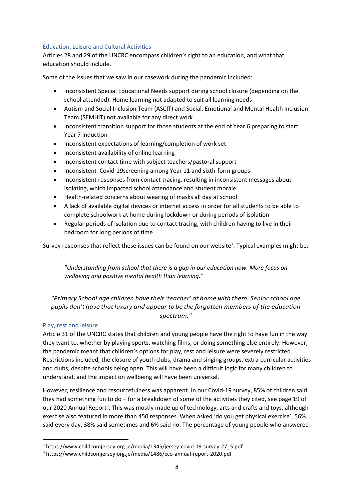# <span id="page-7-0"></span>Education, Leisure and Cultural Activities

Articles 28 and 29 of the UNCRC encompass children's right to an education, and what that education should include.

Some of the issues that we saw in our casework during the pandemic included:

- Inconsistent Special Educational Needs support during school closure (depending on the school attended). Home learning not adapted to suit all learning needs
- Autism and Social Inclusion Team (ASCIT) and Social, Emotional and Mental Health Inclusion Team (SEMHIT) not available for any direct work
- Inconsistent transition support for those students at the end of Year 6 preparing to start Year 7 induction
- Inconsistent expectations of learning/completion of work set
- Inconsistent availability of online learning
- Inconsistent contact time with subject teachers/pastoral support
- Inconsistent Covid-19screening among Year 11 and sixth-form groups
- Inconsistent responses from contact tracing, resulting in inconsistent messages about isolating, which impacted school attendance and student morale
- Health-related concerns about wearing of masks all day at school
- A lack of available digital devices or internet access in order for all students to be able to complete schoolwork at home during lockdown or during periods of isolation
- Regular periods of isolation due to contact tracing, with children having to live in their bedroom for long periods of time

Survey responses that reflect these issues can be found on our website<sup>7</sup>. Typical examples might be:

*"Understanding from school that there is a gap in our education now. More focus on wellbeing and positive mental health than learning."*

*"Primary School age children have their 'teacher' at home with them. Senior school age pupils don't have that luxury and appear to be the forgotten members of the education spectrum."*

## <span id="page-7-1"></span>Play, rest and leisure

Article 31 of the UNCRC states that children and young people have the right to have fun in the way they want to, whether by playing sports, watching films, or doing something else entirely. However, the pandemic meant that children's options for play, rest and leisure were severely restricted. Restrictions included, the closure of youth clubs, drama and singing groups, extra-curricular activities and clubs, despite schools being open. This will have been a difficult logic for many children to understand, and the impact on wellbeing will have been universal.

However, resilience and resourcefulness was apparent. In our Covid-19 survey, 85% of children said they had something fun to do – for a breakdown of some of the activities they cited, see page 19 of our 2020 Annual Report<sup>8</sup>. This was mostly made up of technology, arts and crafts and toys, although exercise also featured in more than 450 responses. When asked 'do you get physical exercise', 56% said every day, 38% said sometimes and 6% said no. The percentage of young people who answered

<sup>7</sup> https://www.childcomjersey.org.je/media/1345/jersey-covid-19-survey-27\_5.pdf

<sup>8</sup> https://www.childcomjersey.org.je/media/1486/cco-annual-report-2020.pdf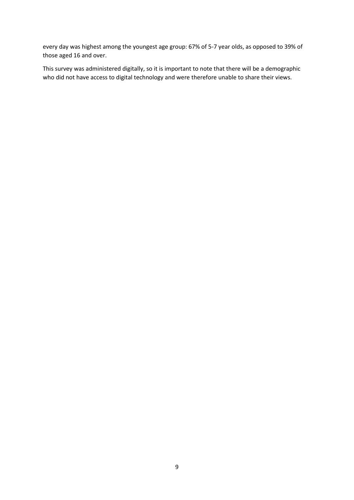every day was highest among the youngest age group: 67% of 5-7 year olds, as opposed to 39% of those aged 16 and over.

This survey was administered digitally, so it is important to note that there will be a demographic who did not have access to digital technology and were therefore unable to share their views.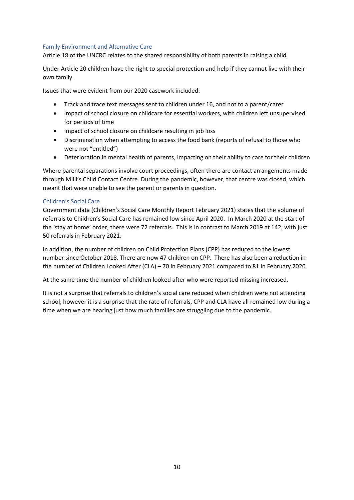## <span id="page-9-0"></span>Family Environment and Alternative Care

Article 18 of the UNCRC relates to the shared responsibility of both parents in raising a child.

Under Article 20 children have the right to special protection and help if they cannot live with their own family.

Issues that were evident from our 2020 casework included:

- Track and trace text messages sent to children under 16, and not to a parent/carer
- Impact of school closure on childcare for essential workers, with children left unsupervised for periods of time
- Impact of school closure on childcare resulting in job loss
- Discrimination when attempting to access the food bank (reports of refusal to those who were not "entitled")
- Deterioration in mental health of parents, impacting on their ability to care for their children

Where parental separations involve court proceedings, often there are contact arrangements made through Milli's Child Contact Centre. During the pandemic, however, that centre was closed, which meant that were unable to see the parent or parents in question.

## <span id="page-9-1"></span>Children's Social Care

Government data (Children's Social Care Monthly Report February 2021) states that the volume of referrals to Children's Social Care has remained low since April 2020. In March 2020 at the start of the 'stay at home' order, there were 72 referrals. This is in contrast to March 2019 at 142, with just 50 referrals in February 2021.

In addition, the number of children on Child Protection Plans (CPP) has reduced to the lowest number since October 2018. There are now 47 children on CPP. There has also been a reduction in the number of Children Looked After (CLA) – 70 in February 2021 compared to 81 in February 2020.

At the same time the number of children looked after who were reported missing increased.

It is not a surprise that referrals to children's social care reduced when children were not attending school, however it is a surprise that the rate of referrals, CPP and CLA have all remained low during a time when we are hearing just how much families are struggling due to the pandemic.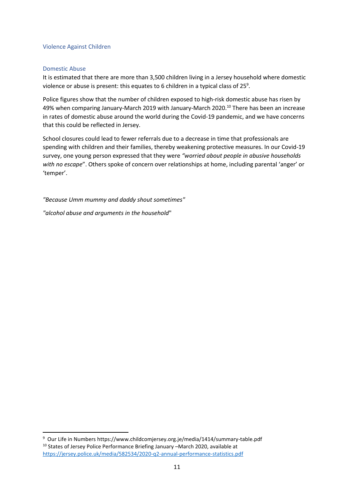### <span id="page-10-0"></span>Violence Against Children

## <span id="page-10-1"></span>Domestic Abuse

It is estimated that there are more than 3,500 children living in a Jersey household where domestic violence or abuse is present: this equates to 6 children in a typical class of 25<sup>9</sup>.

Police figures show that the number of children exposed to high-risk domestic abuse has risen by 49% when comparing January-March 2019 with January-March 2020.<sup>10</sup> There has been an increase in rates of domestic abuse around the world during the Covid-19 pandemic, and we have concerns that this could be reflected in Jersey.

School closures could lead to fewer referrals due to a decrease in time that professionals are spending with children and their families, thereby weakening protective measures. In our Covid-19 survey, one young person expressed that they were *"worried about people in abusive households with no escape*". Others spoke of concern over relationships at home, including parental 'anger' or 'temper'.

*"Because Umm mummy and daddy shout sometimes"* 

*"alcohol abuse and arguments in the household*"

<sup>9</sup> Our Life in Numbers https://www.childcomjersey.org.je/media/1414/summary-table.pdf <sup>10</sup> States of Jersey Police Performance Briefing January –March 2020, available at <https://jersey.police.uk/media/582534/2020-q2-annual-performance-statistics.pdf>